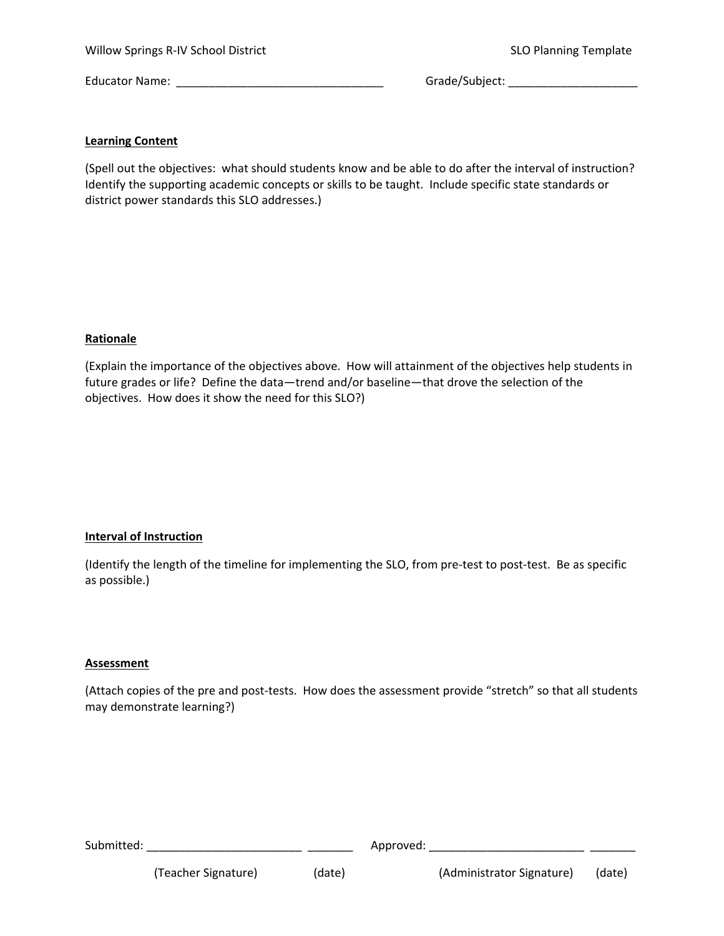Willow Springs R‐IV School District SLO Planning Template

Educator Name: \_\_\_\_\_\_\_\_\_\_\_\_\_\_\_\_\_\_\_\_\_\_\_\_\_\_\_\_\_\_\_\_ Grade/Subject: \_\_\_\_\_\_\_\_\_\_\_\_\_\_\_\_\_\_\_\_

### **Learning Content**

(Spell out the objectives: what should students know and be able to do after the interval of instruction? Identify the supporting academic concepts or skills to be taught. Include specific state standards or district power standards this SLO addresses.)

## **Rationale**

(Explain the importance of the objectives above. How will attainment of the objectives help students in future grades or life? Define the data—trend and/or baseline—that drove the selection of the objectives. How does it show the need for this SLO?)

## **Interval of Instruction**

(Identify the length of the timeline for implementing the SLO, from pre‐test to post‐test. Be as specific as possible.)

#### **Assessment**

(Attach copies of the pre and post‐tests. How does the assessment provide "stretch" so that all students may demonstrate learning?)

Submitted: \_\_\_\_\_\_\_\_\_\_\_\_\_\_\_\_\_\_\_\_\_\_\_\_ \_\_\_\_\_\_\_ Approved: \_\_\_\_\_\_\_\_\_\_\_\_\_\_\_\_\_\_\_\_\_\_\_\_ \_\_\_\_\_\_\_

(Teacher Signature) (date) (Administrator Signature) (date)